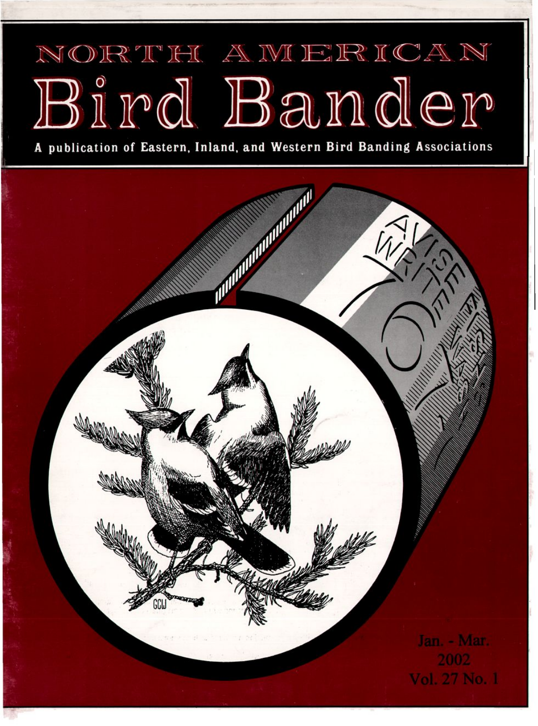## NORTH AWERICAN Bird Bander

**publication of Eastern, Inland, and Western Bird Banding Associations**